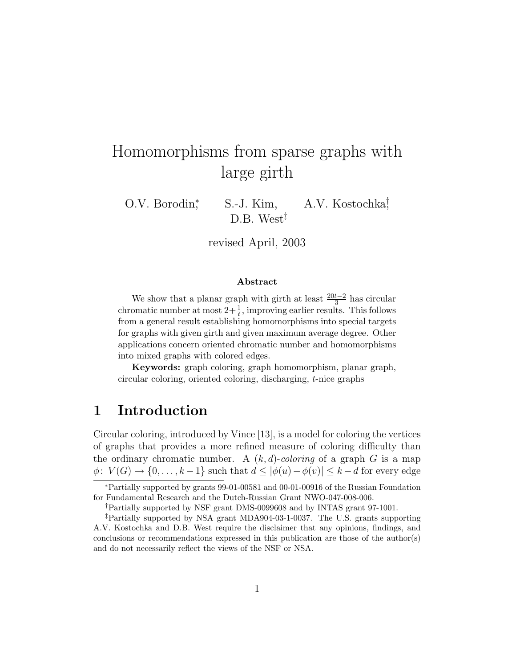# Homomorphisms from sparse graphs with large girth

O.V. Borodin<sup>∗</sup> , S.-J. Kim, A.V. Kostochka† , D.B. West<sup>‡</sup>

revised April, 2003

#### Abstract

We show that a planar graph with girth at least  $\frac{20t-2}{3}$  has circular chromatic number at most  $2+\frac{1}{t}$ , improving earlier results. This follows from a general result establishing homomorphisms into special targets for graphs with given girth and given maximum average degree. Other applications concern oriented chromatic number and homomorphisms into mixed graphs with colored edges.

Keywords: graph coloring, graph homomorphism, planar graph, circular coloring, oriented coloring, discharging, t-nice graphs

### 1 Introduction

Circular coloring, introduced by Vince [13], is a model for coloring the vertices of graphs that provides a more refined measure of coloring difficulty than the ordinary chromatic number. A  $(k, d)$ -coloring of a graph G is a map  $\phi: V(G) \to \{0, \ldots, k-1\}$  such that  $d \leq |\phi(u) - \phi(v)| \leq k - d$  for every edge

<sup>∗</sup>Partially supported by grants 99-01-00581 and 00-01-00916 of the Russian Foundation for Fundamental Research and the Dutch-Russian Grant NWO-047-008-006.

<sup>†</sup>Partially supported by NSF grant DMS-0099608 and by INTAS grant 97-1001.

<sup>‡</sup>Partially supported by NSA grant MDA904-03-1-0037. The U.S. grants supporting A.V. Kostochka and D.B. West require the disclaimer that any opinions, findings, and conclusions or recommendations expressed in this publication are those of the author(s) and do not necessarily reflect the views of the NSF or NSA.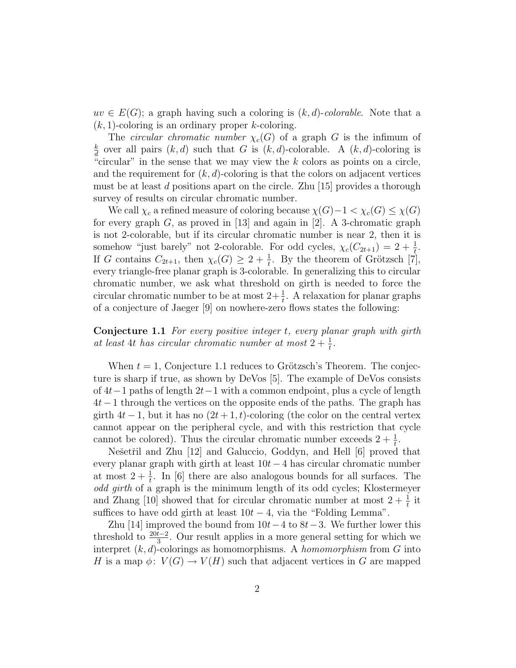$uv \in E(G)$ ; a graph having such a coloring is  $(k, d)$ -colorable. Note that a  $(k, 1)$ -coloring is an ordinary proper k-coloring.

The *circular chromatic number*  $\chi_c(G)$  of a graph G is the infimum of k  $\frac{k}{d}$  over all pairs  $(k, d)$  such that G is  $(k, d)$ -colorable. A  $(k, d)$ -coloring is "circular" in the sense that we may view the  $k$  colors as points on a circle, and the requirement for  $(k, d)$ -coloring is that the colors on adjacent vertices must be at least d positions apart on the circle. Zhu  $[15]$  provides a thorough survey of results on circular chromatic number.

We call  $\chi_c$  a refined measure of coloring because  $\chi(G)-1 < \chi_c(G) \leq \chi(G)$ for every graph  $G$ , as proved in [13] and again in [2]. A 3-chromatic graph is not 2-colorable, but if its circular chromatic number is near 2, then it is somehow "just barely" not 2-colorable. For odd cycles,  $\chi_c(C_{2t+1}) = 2 + \frac{1}{t}$ . If G contains  $C_{2t+1}$ , then  $\chi_c(G) \geq 2 + \frac{1}{t}$ . By the theorem of Grötzsch [7], every triangle-free planar graph is 3-colorable. In generalizing this to circular chromatic number, we ask what threshold on girth is needed to force the circular chromatic number to be at most  $2+\frac{1}{t}$ . A relaxation for planar graphs of a conjecture of Jaeger [9] on nowhere-zero flows states the following:

Conjecture 1.1 For every positive integer t, every planar graph with girth at least 4t has circular chromatic number at most  $2 + \frac{1}{t}$ .

When  $t = 1$ , Conjecture 1.1 reduces to Grötzsch's Theorem. The conjecture is sharp if true, as shown by DeVos [5]. The example of DeVos consists of 4t−1 paths of length 2t−1 with a common endpoint, plus a cycle of length 4t−1 through the vertices on the opposite ends of the paths. The graph has girth  $4t-1$ , but it has no  $(2t+1, t)$ -coloring (the color on the central vertex cannot appear on the peripheral cycle, and with this restriction that cycle cannot be colored). Thus the circular chromatic number exceeds  $2 + \frac{1}{t}$ .

Nešetřil and Zhu [12] and Galuccio, Goddyn, and Hell [6] proved that every planar graph with girth at least  $10t - 4$  has circular chromatic number at most  $2 + \frac{1}{t}$ . In [6] there are also analogous bounds for all surfaces. The odd girth of a graph is the minimum length of its odd cycles; Klostermeyer and Zhang [10] showed that for circular chromatic number at most  $2 + \frac{1}{t}$  it suffices to have odd girth at least  $10t - 4$ , via the "Folding Lemma".

Zhu [14] improved the bound from  $10t-4$  to  $8t-3$ . We further lower this threshold to  $\frac{20t-2}{3}$ . Our result applies in a more general setting for which we interpret  $(k, d)$ -colorings as homomorphisms. A *homomorphism* from G into H is a map  $\phi: V(G) \to V(H)$  such that adjacent vertices in G are mapped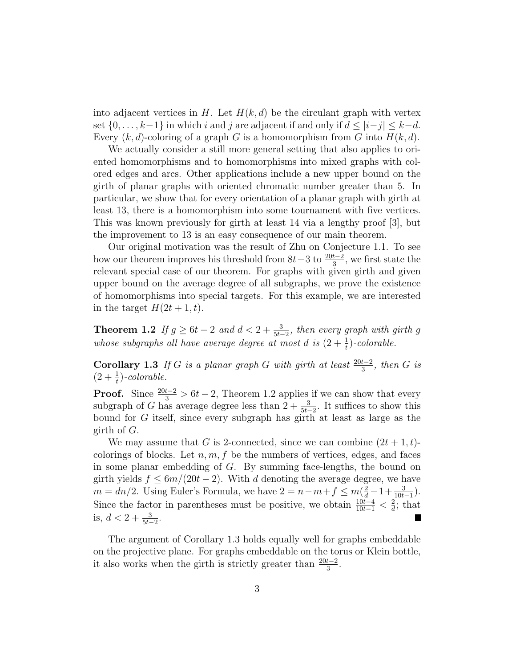into adjacent vertices in H. Let  $H(k, d)$  be the circulant graph with vertex set  $\{0, \ldots, k-1\}$  in which i and j are adjacent if and only if  $d \leq |i-j| \leq k-d$ . Every  $(k, d)$ -coloring of a graph G is a homomorphism from G into  $H(k, d)$ .

We actually consider a still more general setting that also applies to oriented homomorphisms and to homomorphisms into mixed graphs with colored edges and arcs. Other applications include a new upper bound on the girth of planar graphs with oriented chromatic number greater than 5. In particular, we show that for every orientation of a planar graph with girth at least 13, there is a homomorphism into some tournament with five vertices. This was known previously for girth at least 14 via a lengthy proof [3], but the improvement to 13 is an easy consequence of our main theorem.

Our original motivation was the result of Zhu on Conjecture 1.1. To see how our theorem improves his threshold from  $8t-3$  to  $\frac{20t-2}{3}$ , we first state the relevant special case of our theorem. For graphs with given girth and given upper bound on the average degree of all subgraphs, we prove the existence of homomorphisms into special targets. For this example, we are interested in the target  $H(2t+1, t)$ .

**Theorem 1.2** If  $g \ge 6t - 2$  and  $d < 2 + \frac{3}{5t-2}$ , then every graph with girth g whose subgraphs all have average degree at most d is  $(2 + \frac{1}{t})$ -colorable.

Corollary 1.3 If G is a planar graph G with girth at least  $\frac{20t-2}{3}$ , then G is  $(2+\frac{1}{t})$ -colorable.

**Proof.** Since  $\frac{20t-2}{3} > 6t - 2$ , Theorem 1.2 applies if we can show that every subgraph of G has average degree less than  $2 + \frac{3}{5t-2}$ . It suffices to show this bound for G itself, since every subgraph has girth at least as large as the girth of G.

We may assume that G is 2-connected, since we can combine  $(2t + 1, t)$ colorings of blocks. Let  $n, m, f$  be the numbers of vertices, edges, and faces in some planar embedding of G. By summing face-lengths, the bound on girth yields  $f \leq 6m/(20t-2)$ . With d denoting the average degree, we have  $m = dn/2$ . Using Euler's Formula, we have  $2 = n - m + f \le m(\frac{2}{d} - 1 + \frac{3}{10t-1})$ . Since the factor in parentheses must be positive, we obtain  $\frac{10t-4}{10t-1} < \frac{2}{d}$  $\frac{2}{d}$ ; that is,  $d < 2 + \frac{3}{5t-2}$ .

The argument of Corollary 1.3 holds equally well for graphs embeddable on the projective plane. For graphs embeddable on the torus or Klein bottle, it also works when the girth is strictly greater than  $\frac{20t-2}{3}$ .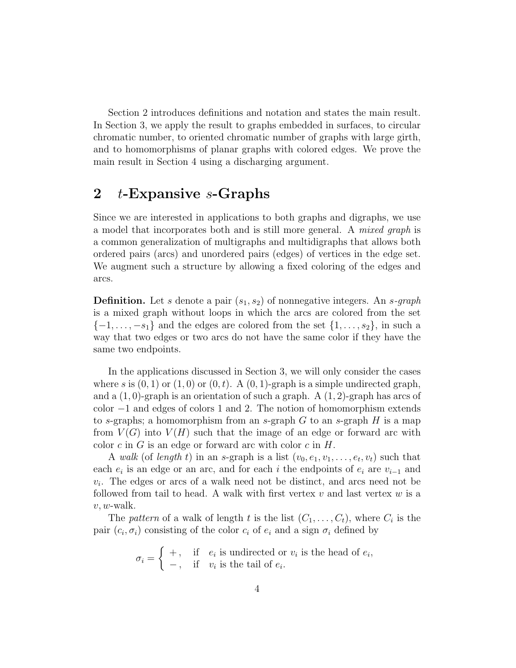Section 2 introduces definitions and notation and states the main result. In Section 3, we apply the result to graphs embedded in surfaces, to circular chromatic number, to oriented chromatic number of graphs with large girth, and to homomorphisms of planar graphs with colored edges. We prove the main result in Section 4 using a discharging argument.

### 2 t-Expansive s-Graphs

Since we are interested in applications to both graphs and digraphs, we use a model that incorporates both and is still more general. A mixed graph is a common generalization of multigraphs and multidigraphs that allows both ordered pairs (arcs) and unordered pairs (edges) of vertices in the edge set. We augment such a structure by allowing a fixed coloring of the edges and arcs.

**Definition.** Let s denote a pair  $(s_1, s_2)$  of nonnegative integers. An s-graph is a mixed graph without loops in which the arcs are colored from the set  $\{-1,\ldots,-s_1\}$  and the edges are colored from the set  $\{1,\ldots,s_2\}$ , in such a way that two edges or two arcs do not have the same color if they have the same two endpoints.

In the applications discussed in Section 3, we will only consider the cases where s is  $(0, 1)$  or  $(1, 0)$  or  $(0, t)$ . A  $(0, 1)$ -graph is a simple undirected graph, and a  $(1,0)$ -graph is an orientation of such a graph. A  $(1,2)$ -graph has arcs of color −1 and edges of colors 1 and 2. The notion of homomorphism extends to s-graphs; a homomorphism from an s-graph  $G$  to an s-graph  $H$  is a map from  $V(G)$  into  $V(H)$  such that the image of an edge or forward arc with color c in  $G$  is an edge or forward arc with color  $c$  in  $H$ .

A walk (of length t) in an s-graph is a list  $(v_0, e_1, v_1, \ldots, e_t, v_t)$  such that each  $e_i$  is an edge or an arc, and for each i the endpoints of  $e_i$  are  $v_{i-1}$  and  $v_i$ . The edges or arcs of a walk need not be distinct, and arcs need not be followed from tail to head. A walk with first vertex  $v$  and last vertex  $w$  is a  $v, w$ -walk.

The pattern of a walk of length t is the list  $(C_1, \ldots, C_t)$ , where  $C_i$  is the pair  $(c_i, \sigma_i)$  consisting of the color  $c_i$  of  $e_i$  and a sign  $\sigma_i$  defined by

> $\sigma_i = \begin{cases} +, & \text{if } e_i \text{ is undirected or } v_i \text{ is the head of } e_i, \\ \text{if } e_i \text{ is the tail of } e_i \end{cases}$  $-$ , if  $v_i$  is the tail of  $e_i$ .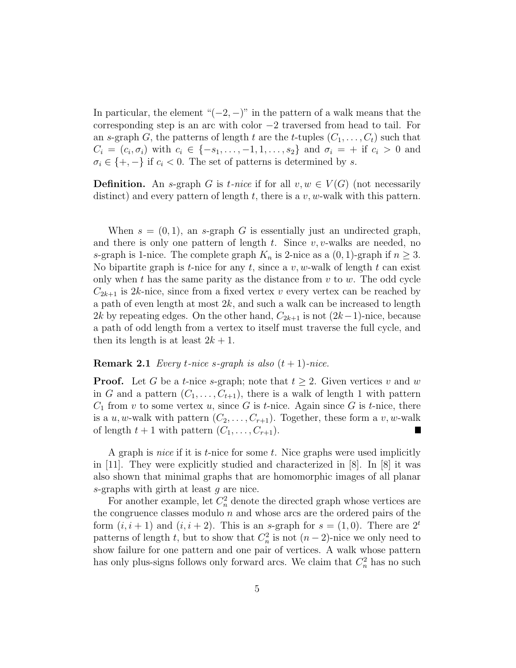In particular, the element " $(-2, -)$ " in the pattern of a walk means that the corresponding step is an arc with color −2 traversed from head to tail. For an s-graph G, the patterns of length t are the t-tuples  $(C_1, \ldots, C_t)$  such that  $C_i = (c_i, \sigma_i)$  with  $c_i \in \{-s_1, \ldots, -1, 1, \ldots, s_2\}$  and  $\sigma_i = +$  if  $c_i > 0$  and  $\sigma_i \in \{+, -\}$  if  $c_i < 0$ . The set of patterns is determined by s.

**Definition.** An s-graph G is t-nice if for all  $v, w \in V(G)$  (not necessarily distinct) and every pattern of length t, there is a  $v, w$ -walk with this pattern.

When  $s = (0, 1)$ , an s-graph G is essentially just an undirected graph, and there is only one pattern of length t. Since  $v, v$ -walks are needed, no s-graph is 1-nice. The complete graph  $K_n$  is 2-nice as a  $(0, 1)$ -graph if  $n \geq 3$ . No bipartite graph is t-nice for any t, since a v, w-walk of length t can exist only when t has the same parity as the distance from  $v$  to  $w$ . The odd cycle  $C_{2k+1}$  is 2k-nice, since from a fixed vertex v every vertex can be reached by a path of even length at most  $2k$ , and such a walk can be increased to length 2k by repeating edges. On the other hand,  $C_{2k+1}$  is not  $(2k-1)$ -nice, because a path of odd length from a vertex to itself must traverse the full cycle, and then its length is at least  $2k + 1$ .

#### **Remark 2.1** Every *t*-nice *s*-graph is also  $(t + 1)$ -nice.

**Proof.** Let G be a t-nice s-graph; note that  $t \geq 2$ . Given vertices v and w in G and a pattern  $(C_1, \ldots, C_{t+1})$ , there is a walk of length 1 with pattern  $C_1$  from v to some vertex u, since G is t-nice. Again since G is t-nice, there is a u, w-walk with pattern  $(C_2, \ldots, C_{r+1})$ . Together, these form a v, w-walk of length  $t + 1$  with pattern  $(C_1, \ldots, C_{r+1})$ .  $\overline{\phantom{a}}$ 

A graph is *nice* if it is  $t$ -nice for some  $t$ . Nice graphs were used implicitly in [11]. They were explicitly studied and characterized in [8]. In [8] it was also shown that minimal graphs that are homomorphic images of all planar s-graphs with girth at least g are nice.

For another example, let  $C_n^2$  denote the directed graph whose vertices are the congruence classes modulo  $n$  and whose arcs are the ordered pairs of the form  $(i, i + 1)$  and  $(i, i + 2)$ . This is an s-graph for  $s = (1, 0)$ . There are  $2<sup>t</sup>$ patterns of length t, but to show that  $C_n^2$  is not  $(n-2)$ -nice we only need to show failure for one pattern and one pair of vertices. A walk whose pattern has only plus-signs follows only forward arcs. We claim that  $C_n^2$  has no such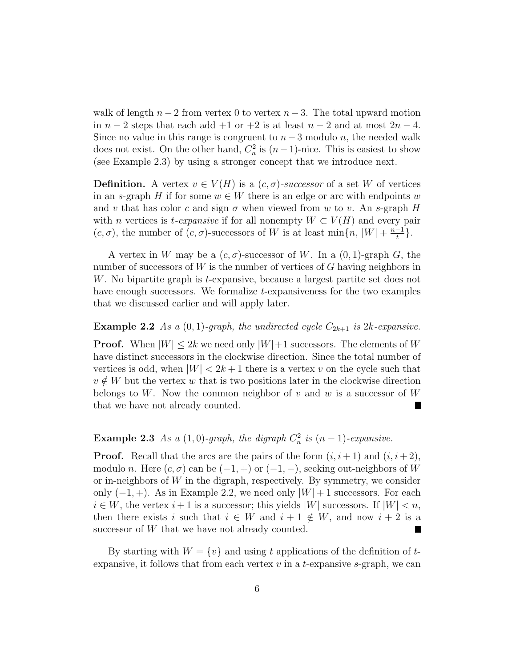walk of length  $n-2$  from vertex 0 to vertex  $n-3$ . The total upward motion in  $n-2$  steps that each add +1 or +2 is at least  $n-2$  and at most  $2n-4$ . Since no value in this range is congruent to  $n-3$  modulo n, the needed walk does not exist. On the other hand,  $C_n^2$  is  $(n-1)$ -nice. This is easiest to show (see Example 2.3) by using a stronger concept that we introduce next.

**Definition.** A vertex  $v \in V(H)$  is a  $(c, \sigma)$ -successor of a set W of vertices in an s-graph H if for some  $w \in W$  there is an edge or arc with endpoints w and v that has color c and sign  $\sigma$  when viewed from w to v. An s-graph H with n vertices is t-expansive if for all nonempty  $W \subset V(H)$  and every pair  $(c, \sigma)$ , the number of  $(c, \sigma)$ -successors of W is at least min $\{n, |W| + \frac{n-1}{t}\}$  $\frac{-1}{t}$ .

A vertex in W may be a  $(c, \sigma)$ -successor of W. In a  $(0, 1)$ -graph G, the number of successors of  $W$  is the number of vertices of  $G$  having neighbors in W. No bipartite graph is *t*-expansive, because a largest partite set does not have enough successors. We formalize *t*-expansiveness for the two examples that we discussed earlier and will apply later.

#### **Example 2.2** As a  $(0, 1)$ -graph, the undirected cycle  $C_{2k+1}$  is  $2k$ -expansive.

**Proof.** When  $|W| \leq 2k$  we need only  $|W|+1$  successors. The elements of W have distinct successors in the clockwise direction. Since the total number of vertices is odd, when  $|W| < 2k+1$  there is a vertex v on the cycle such that  $v \notin W$  but the vertex w that is two positions later in the clockwise direction belongs to W. Now the common neighbor of v and w is a successor of W that we have not already counted.

### **Example 2.3** As a (1,0)-graph, the digraph  $C_n^2$  is  $(n-1)$ -expansive.

**Proof.** Recall that the arcs are the pairs of the form  $(i, i + 1)$  and  $(i, i + 2)$ , modulo n. Here  $(c, \sigma)$  can be  $(-1, +)$  or  $(-1, -)$ , seeking out-neighbors of W or in-neighbors of  $W$  in the digraph, respectively. By symmetry, we consider only  $(-1, +)$ . As in Example 2.2, we need only  $|W| + 1$  successors. For each  $i \in W$ , the vertex  $i+1$  is a successor; this yields  $|W|$  successors. If  $|W| < n$ , then there exists i such that  $i \in W$  and  $i + 1 \notin W$ , and now  $i + 2$  is a successor of W that we have not already counted.

By starting with  $W = \{v\}$  and using t applications of the definition of texpansive, it follows that from each vertex  $v$  in a  $t$ -expansive s-graph, we can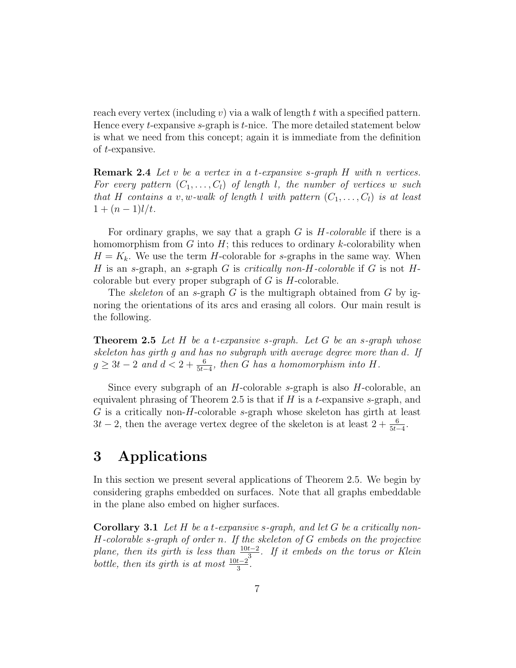reach every vertex (including v) via a walk of length t with a specified pattern. Hence every *t*-expansive *s*-graph is *t*-nice. The more detailed statement below is what we need from this concept; again it is immediate from the definition of t-expansive.

**Remark 2.4** Let v be a vertex in a t-expansive s-graph  $H$  with n vertices. For every pattern  $(C_1, \ldots, C_l)$  of length l, the number of vertices w such that H contains a v, w-walk of length l with pattern  $(C_1, \ldots, C_l)$  is at least  $1 + (n-1)l/t$ .

For ordinary graphs, we say that a graph  $G$  is  $H$ -colorable if there is a homomorphism from  $G$  into  $H$ ; this reduces to ordinary k-colorability when  $H = K_k$ . We use the term H-colorable for s-graphs in the same way. When H is an s-graph, an s-graph G is critically non-H-colorable if G is not  $H$ colorable but every proper subgraph of  $G$  is  $H$ -colorable.

The *skeleton* of an s-graph G is the multigraph obtained from G by ignoring the orientations of its arcs and erasing all colors. Our main result is the following.

**Theorem 2.5** Let H be a t-expansive s-graph. Let G be an s-graph whose skeleton has girth g and has no subgraph with average degree more than d. If  $g \geq 3t - 2$  and  $d < 2 + \frac{6}{5t-4}$ , then G has a homomorphism into H.

Since every subgraph of an  $H$ -colorable s-graph is also  $H$ -colorable, an equivalent phrasing of Theorem 2.5 is that if  $H$  is a t-expansive s-graph, and G is a critically non-H-colorable s-graph whose skeleton has girth at least  $3t - 2$ , then the average vertex degree of the skeleton is at least  $2 + \frac{6}{5t-4}$ .

### 3 Applications

In this section we present several applications of Theorem 2.5. We begin by considering graphs embedded on surfaces. Note that all graphs embeddable in the plane also embed on higher surfaces.

**Corollary 3.1** Let H be a t-expansive s-graph, and let G be a critically non- $H$ -colorable s-graph of order n. If the skeleton of  $G$  embeds on the projective plane, then its girth is less than  $\frac{10t-2}{2}$ . If it embeds on the torus or Klein bottle, then its girth is at most  $\frac{10t-2^3}{3}$ .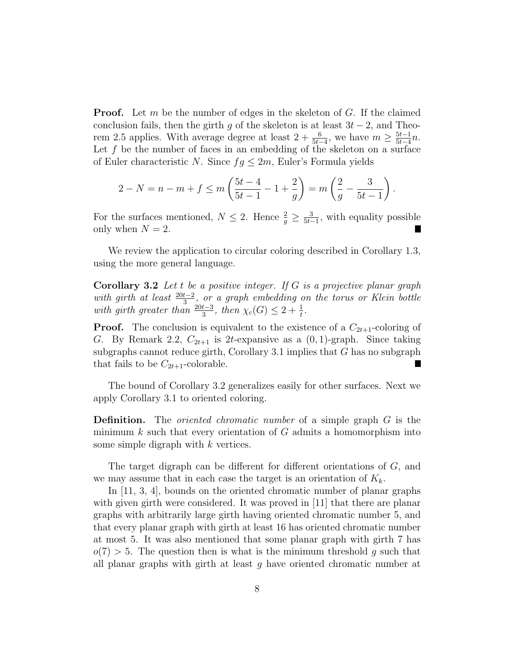**Proof.** Let m be the number of edges in the skeleton of G. If the claimed conclusion fails, then the girth g of the skeleton is at least  $3t - 2$ , and Theorem 2.5 applies. With average degree at least  $2 + \frac{6}{5t-4}$ , we have  $m \ge \frac{5t-1}{5t-4}$  $\frac{5t-1}{5t-4}n$ . Let  $f$  be the number of faces in an embedding of the skeleton on a surface of Euler characteristic N. Since  $fg \leq 2m$ , Euler's Formula yields

$$
2 - N = n - m + f \le m \left( \frac{5t - 4}{5t - 1} - 1 + \frac{2}{g} \right) = m \left( \frac{2}{g} - \frac{3}{5t - 1} \right).
$$

For the surfaces mentioned,  $N \leq 2$ . Hence  $\frac{2}{g} \geq \frac{3}{5t-1}$ , with equality possible only when  $N = 2$ .

We review the application to circular coloring described in Corollary 1.3, using the more general language.

Corollary 3.2 Let t be a positive integer. If G is a projective planar graph with girth at least  $\frac{20t-2}{3}$ , or a graph embedding on the torus or Klein bottle with girth greater than  $\frac{20t-3}{3}$ , then  $\chi_c(G) \leq 2 + \frac{1}{t}$ .

**Proof.** The conclusion is equivalent to the existence of a  $C_{2t+1}$ -coloring of G. By Remark 2.2,  $C_{2t+1}$  is 2t-expansive as a  $(0, 1)$ -graph. Since taking subgraphs cannot reduce girth, Corollary 3.1 implies that  $G$  has no subgraph that fails to be  $C_{2t+1}$ -colorable.

The bound of Corollary 3.2 generalizes easily for other surfaces. Next we apply Corollary 3.1 to oriented coloring.

**Definition.** The *oriented chromatic number* of a simple graph G is the minimum  $k$  such that every orientation of  $G$  admits a homomorphism into some simple digraph with  $k$  vertices.

The target digraph can be different for different orientations of G, and we may assume that in each case the target is an orientation of  $K_k$ .

In [11, 3, 4], bounds on the oriented chromatic number of planar graphs with given girth were considered. It was proved in  $|11|$  that there are planar graphs with arbitrarily large girth having oriented chromatic number 5, and that every planar graph with girth at least 16 has oriented chromatic number at most 5. It was also mentioned that some planar graph with girth 7 has  $o(7) > 5$ . The question then is what is the minimum threshold g such that all planar graphs with girth at least  $q$  have oriented chromatic number at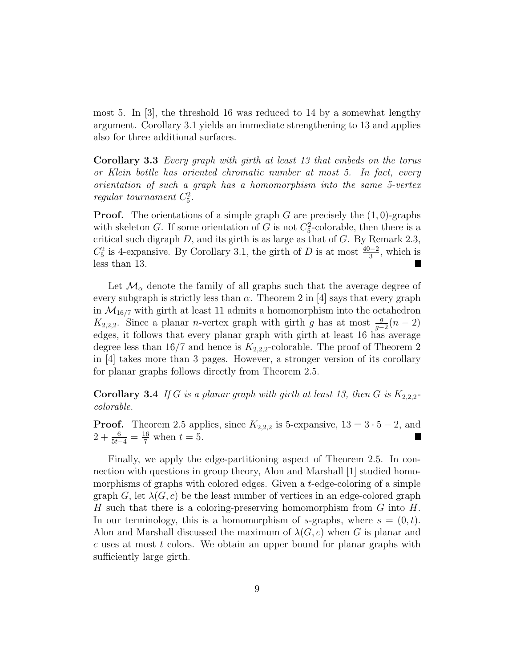most 5. In [3], the threshold 16 was reduced to 14 by a somewhat lengthy argument. Corollary 3.1 yields an immediate strengthening to 13 and applies also for three additional surfaces.

Corollary 3.3 Every graph with girth at least 13 that embeds on the torus or Klein bottle has oriented chromatic number at most 5. In fact, every orientation of such a graph has a homomorphism into the same 5-vertex regular tournament  $C_5^2$ .

**Proof.** The orientations of a simple graph G are precisely the  $(1, 0)$ -graphs with skeleton G. If some orientation of G is not  $C_5^2$ -colorable, then there is a critical such digraph  $D$ , and its girth is as large as that of  $G$ . By Remark 2.3,  $C_5^2$  is 4-expansive. By Corollary 3.1, the girth of D is at most  $\frac{40-2}{3}$ , which is less than 13. П

Let  $\mathcal{M}_{\alpha}$  denote the family of all graphs such that the average degree of every subgraph is strictly less than  $\alpha$ . Theorem 2 in [4] says that every graph in  $\mathcal{M}_{16/7}$  with girth at least 11 admits a homomorphism into the octahedron  $K_{2,2,2}$ . Since a planar *n*-vertex graph with girth g has at most  $\frac{g}{g-2}(n-2)$ edges, it follows that every planar graph with girth at least 16 has average degree less than  $16/7$  and hence is  $K_{2,2,2}$ -colorable. The proof of Theorem 2 in [4] takes more than 3 pages. However, a stronger version of its corollary for planar graphs follows directly from Theorem 2.5.

**Corollary 3.4** If G is a planar graph with girth at least 13, then G is  $K_{2,2,2}$ colorable.

**Proof.** Theorem 2.5 applies, since  $K_{2,2,2}$  is 5-expansive,  $13 = 3 \cdot 5 - 2$ , and  $2 + \frac{6}{5t-4} = \frac{16}{7}$  when  $t = 5$ .

Finally, we apply the edge-partitioning aspect of Theorem 2.5. In connection with questions in group theory, Alon and Marshall [1] studied homomorphisms of graphs with colored edges. Given a t-edge-coloring of a simple graph G, let  $\lambda(G, c)$  be the least number of vertices in an edge-colored graph H such that there is a coloring-preserving homomorphism from  $G$  into  $H$ . In our terminology, this is a homomorphism of s-graphs, where  $s = (0, t)$ . Alon and Marshall discussed the maximum of  $\lambda(G, c)$  when G is planar and  $c$  uses at most  $t$  colors. We obtain an upper bound for planar graphs with sufficiently large girth.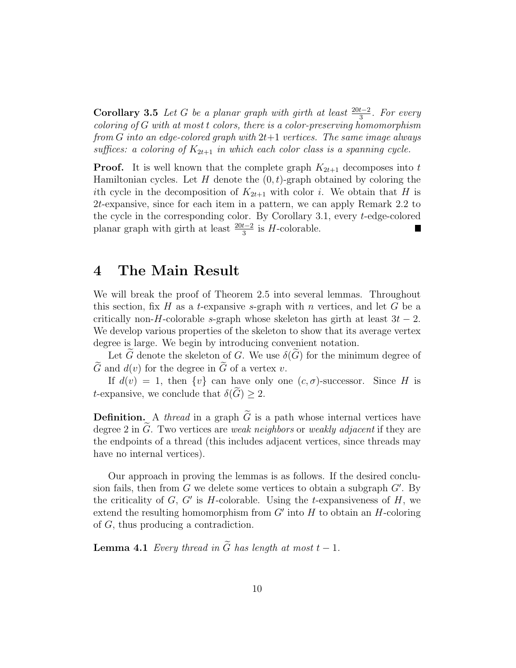Corollary 3.5 Let G be a planar graph with girth at least  $\frac{20t-2}{3}$ . For every coloring of  $G$  with at most t colors, there is a color-preserving homomorphism from  $G$  into an edge-colored graph with  $2t+1$  vertices. The same image always suffices: a coloring of  $K_{2t+1}$  in which each color class is a spanning cycle.

**Proof.** It is well known that the complete graph  $K_{2t+1}$  decomposes into t Hamiltonian cycles. Let  $H$  denote the  $(0, t)$ -graph obtained by coloring the ith cycle in the decomposition of  $K_{2t+1}$  with color i. We obtain that H is 2t-expansive, since for each item in a pattern, we can apply Remark 2.2 to the cycle in the corresponding color. By Corollary 3.1, every t-edge-colored planar graph with girth at least  $\frac{20t-2}{3}$  is H-colorable.

## 4 The Main Result

We will break the proof of Theorem 2.5 into several lemmas. Throughout this section, fix H as a t-expansive s-graph with n vertices, and let G be a critically non-H-colorable s-graph whose skeleton has girth at least  $3t - 2$ . We develop various properties of the skeleton to show that its average vertex degree is large. We begin by introducing convenient notation.

Let G denote the skeleton of G. We use  $\delta(G)$  for the minimum degree of  $\tilde{G}$  and  $d(v)$  for the degree in  $\tilde{G}$  of a vertex v.

If  $d(v) = 1$ , then  $\{v\}$  can have only one  $(c, \sigma)$ -successor. Since H is t-expansive, we conclude that  $\delta(G) \geq 2$ .

**Definition.** A thread in a graph  $\tilde{G}$  is a path whose internal vertices have degree 2 in  $G$ . Two vertices are weak neighbors or weakly adjacent if they are the endpoints of a thread (this includes adjacent vertices, since threads may have no internal vertices).

Our approach in proving the lemmas is as follows. If the desired conclusion fails, then from  $G$  we delete some vertices to obtain a subgraph  $G'$ . By the criticality of  $G, G'$  is H-colorable. Using the t-expansiveness of  $H$ , we extend the resulting homomorphism from  $G'$  into  $H$  to obtain an  $H$ -coloring of G, thus producing a contradiction.

**Lemma 4.1** Every thread in  $\widetilde{G}$  has length at most  $t - 1$ .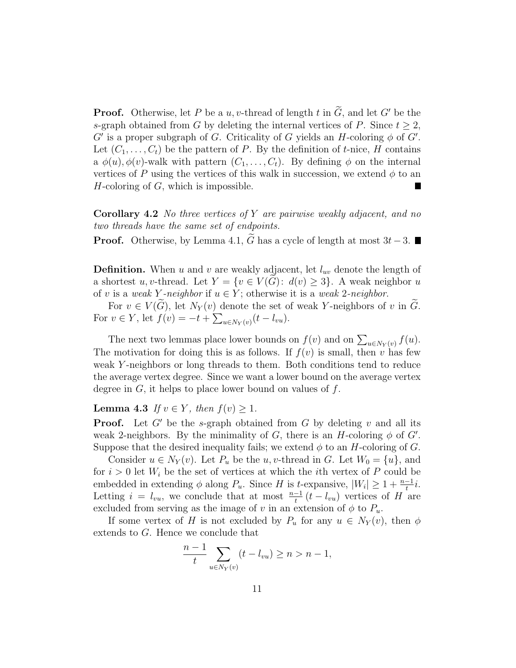**Proof.** Otherwise, let P be a u, v-thread of length t in  $\widetilde{G}$ , and let G' be the s-graph obtained from G by deleting the internal vertices of P. Since  $t \geq 2$ ,  $G'$  is a proper subgraph of G. Criticality of G yields an H-coloring  $\phi$  of  $G'$ . Let  $(C_1, \ldots, C_t)$  be the pattern of P. By the definition of t-nice, H contains a  $\phi(u), \phi(v)$ -walk with pattern  $(C_1, \ldots, C_t)$ . By defining  $\phi$  on the internal vertices of P using the vertices of this walk in succession, we extend  $\phi$  to an  $H$ -coloring of  $G$ , which is impossible.

**Corollary 4.2** No three vertices of Y are pairwise weakly adjacent, and no two threads have the same set of endpoints.

**Proof.** Otherwise, by Lemma 4.1,  $\tilde{G}$  has a cycle of length at most  $3t-3$ . ■

**Definition.** When u and v are weakly adjacent, let  $l_{uv}$  denote the length of a shortest u, v-thread. Let  $Y = \{v \in V(G): d(v) \geq 3\}$ . A weak neighbor u of v is a weak Y-neighbor if  $u \in Y$ ; otherwise it is a weak 2-neighbor.

For  $v \in V(G)$ , let  $N_Y(v)$  denote the set of weak Y-neighbors of v in G. For  $v \in Y$ , let  $f(v) = -t + \sum_{u \in N_Y(v)} (t - l_{vu})$ .

The next two lemmas place lower bounds on  $f(v)$  and on  $\sum_{u \in N_Y(v)} f(u)$ . The motivation for doing this is as follows. If  $f(v)$  is small, then v has few weak Y-neighbors or long threads to them. Both conditions tend to reduce the average vertex degree. Since we want a lower bound on the average vertex degree in  $G$ , it helps to place lower bound on values of  $f$ .

Lemma 4.3 If  $v \in Y$ , then  $f(v) \geq 1$ .

**Proof.** Let  $G'$  be the s-graph obtained from G by deleting v and all its weak 2-neighbors. By the minimality of G, there is an H-coloring  $\phi$  of G'. Suppose that the desired inequality fails; we extend  $\phi$  to an H-coloring of G.

Consider  $u \in N_Y(v)$ . Let  $P_u$  be the u, v-thread in G. Let  $W_0 = \{u\}$ , and for  $i > 0$  let  $W_i$  be the set of vertices at which the *i*th vertex of P could be embedded in extending  $\phi$  along  $P_u$ . Since H is t-expansive,  $|W_i| \geq 1 + \frac{n-1}{t}i$ . Letting  $i = l_{vu}$ , we conclude that at most  $\frac{n-1}{t}(t - l_{vu})$  vertices of H are excluded from serving as the image of v in an extension of  $\phi$  to  $P_u$ .

If some vertex of H is not excluded by  $P_u$  for any  $u \in N_Y(v)$ , then  $\phi$ extends to G. Hence we conclude that

$$
\frac{n-1}{t} \sum_{u \in N_Y(v)} (t - l_{vu}) \ge n > n - 1,
$$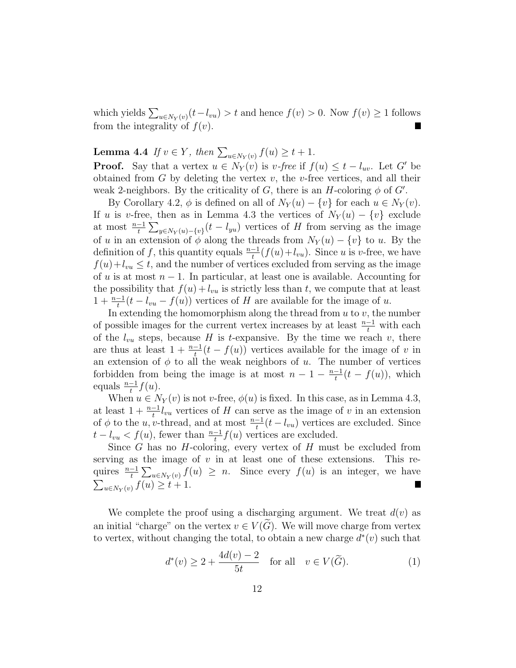which yields  $\sum_{u \in N_Y(v)} (t - l_{vu}) > t$  and hence  $f(v) > 0$ . Now  $f(v) \ge 1$  follows from the integrality of  $f(v)$ .

**Lemma 4.4** If  $v \in Y$ , then  $\sum_{u \in N_Y(v)} f(u) \ge t + 1$ .

**Proof.** Say that a vertex  $u \in N_Y(v)$  is v-free if  $f(u) \le t - l_{uv}$ . Let G' be obtained from  $G$  by deleting the vertex  $v$ , the  $v$ -free vertices, and all their weak 2-neighbors. By the criticality of G, there is an H-coloring  $\phi$  of G'.

By Corollary 4.2,  $\phi$  is defined on all of  $N_Y(u) - \{v\}$  for each  $u \in N_Y(v)$ . If u is v-free, then as in Lemma 4.3 the vertices of  $N_Y(u) - \{v\}$  exclude at most  $\frac{n-1}{t}\sum_{y\in N_Y(u)-\{v\}}(t-l_{yu})$  vertices of H from serving as the image of u in an extension of  $\phi$  along the threads from  $N_Y(u) - \{v\}$  to u. By the definition of f, this quantity equals  $\frac{n-1}{t}(f(u)+l_{vu})$ . Since u is v-free, we have  $f(u)+l_{vu} \leq t$ , and the number of vertices excluded from serving as the image of u is at most  $n-1$ . In particular, at least one is available. Accounting for the possibility that  $f(u) + l_{vu}$  is strictly less than t, we compute that at least  $1 + \frac{n-1}{t}(t - l_{vu} - f(u))$  vertices of H are available for the image of u.

In extending the homomorphism along the thread from  $u$  to  $v$ , the number of possible images for the current vertex increases by at least  $\frac{n-1}{t}$  with each of the  $l_{vu}$  steps, because H is t-expansive. By the time we reach v, there are thus at least  $1 + \frac{n-1}{t}(t - f(u))$  vertices available for the image of v in an extension of  $\phi$  to all the weak neighbors of u. The number of vertices forbidden from being the image is at most  $n-1-\frac{n-1}{t}$  $\frac{-1}{t}(t-f(u))$ , which equals  $\frac{n-1}{t}f(u)$ .

When  $u \in N_Y(v)$  is not v-free,  $\phi(u)$  is fixed. In this case, as in Lemma 4.3, at least  $1 + \frac{n-1}{t} l_{vu}$  vertices of H can serve as the image of v in an extension of  $\phi$  to the u, v-thread, and at most  $\frac{n-1}{t}(t - l_{vu})$  vertices are excluded. Since  $t - l_{vu} < f(u)$ , fewer than  $\frac{n-1}{t} f(u)$  vertices are excluded.

Since  $G$  has no  $H$ -coloring, every vertex of  $H$  must be excluded from serving as the image of  $v$  in at least one of these extensions. This requires  $\frac{n-1}{t} \sum_{u \in N_Y(v)} f(u) \geq n$ . Since every  $f(u)$  is an integer, we have  $\sum_{u \in N_Y(v)} f(u) \geq t + 1.$ 

We complete the proof using a discharging argument. We treat  $d(v)$  as an initial "charge" on the vertex  $v \in V(G)$ . We will move charge from vertex to vertex, without changing the total, to obtain a new charge  $d^*(v)$  such that

$$
d^*(v) \ge 2 + \frac{4d(v) - 2}{5t} \quad \text{for all} \quad v \in V(\widetilde{G}).\tag{1}
$$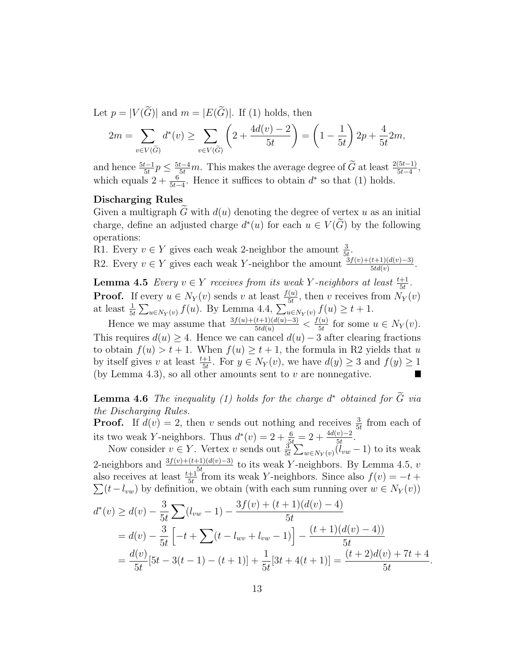Let  $p = |V(\widetilde{G})|$  and  $m = |E(\widetilde{G})|$ . If (1) holds, then

$$
2m = \sum_{v \in V(\widetilde{G})} d^*(v) \ge \sum_{v \in V(\widetilde{G})} \left(2 + \frac{4d(v) - 2}{5t}\right) = \left(1 - \frac{1}{5t}\right)2p + \frac{4}{5t}2m,
$$

and hence  $\frac{5t-1}{5t}p \leq \frac{5t-4}{5t}m$ . This makes the average degree of  $\widetilde{G}$  at least  $\frac{2(5t-1)}{5t-4}$ , which equals  $2 + \frac{6}{5t-4}$ . Hence it suffices to obtain  $d^*$  so that (1) holds.

#### Discharging Rules

Given a multigraph G with  $d(u)$  denoting the degree of vertex u as an initial charge, define an adjusted charge  $d^*(u)$  for each  $u \in V(\widetilde{G})$  by the following operations:

R1. Every  $v \in Y$  gives each weak 2-neighbor the amount  $\frac{3}{5t}$ .

R2. Every  $v \in Y$  gives each weak Y-neighbor the amount  $\frac{\Im f(v) + (t+1)(d(v)-3)}{5td(v)}$ .

**Lemma 4.5** Every  $v \in Y$  receives from its weak Y-neighbors at least  $\frac{t+1}{5t}$ . **Proof.** If every  $u \in N_Y(v)$  sends v at least  $\frac{f(u)}{5t}$ , then v receives from  $N_Y(v)$ at least  $\frac{1}{5t} \sum_{u \in N_Y(v)} f(u)$ . By Lemma 4.4,  $\sum_{u \in N_Y(v)}^{\infty} f(u) \ge t + 1$ .

Hence we may assume that  $\frac{3f(u)+(t+1)(d(u)-3)}{5td(u)} < \frac{f(u)}{5t}$  $\frac{f(u)}{5t}$  for some  $u \in N_Y(v)$ . This requires  $d(u) \geq 4$ . Hence we can cancel  $d(u) - 3$  after clearing fractions to obtain  $f(u) > t + 1$ . When  $f(u) \ge t + 1$ , the formula in R2 yields that u by itself gives v at least  $\frac{t+1}{5t}$ . For  $y \in N_Y(v)$ , we have  $d(y) \geq 3$  and  $f(y) \geq 1$ (by Lemma 4.3), so all other amounts sent to  $v$  are nonnegative. H

**Lemma 4.6** The inequality (1) holds for the charge  $d^*$  obtained for  $\widetilde{G}$  via the Discharging Rules.

**Proof.** If  $d(v) = 2$ , then v sends out nothing and receives  $\frac{3}{5t}$  from each of its two weak Y-neighbors. Thus  $d^*(v) = 2 + \frac{6}{5t} = 2 + \frac{4d(v)-2}{5t}$ .

Now consider  $v \in Y$ . Vertex v sends out  $\frac{3}{5t} \sum_{w \in N_Y(v)} (\tilde{l}_{vw} - 1)$  to its weak 2-neighbors and  $\frac{3f(v)+(t+1)(d(v)-3)}{t}$  to its weak Y-neighbors. By Lemma 4.5, v also receives at least  $\frac{t+1}{5t}$  from its weak Y-neighbors. Since also  $f(v) = -t +$  $\sum (t - l_{vw})$  by definition, we obtain (with each sum running over  $w \in N_Y(v)$ )

$$
d^*(v) \ge d(v) - \frac{3}{5t} \sum (l_{vw} - 1) - \frac{3f(v) + (t+1)(d(v) - 4)}{5t}
$$
  
=  $d(v) - \frac{3}{5t} \left[ -t + \sum (t - l_{wv} + l_{vw} - 1) \right] - \frac{(t+1)(d(v) - 4)}{5t}$   
=  $\frac{d(v)}{5t} [5t - 3(t - 1) - (t + 1)] + \frac{1}{5t} [3t + 4(t + 1)] = \frac{(t+2)d(v) + 7t + 4}{5t}$ 

.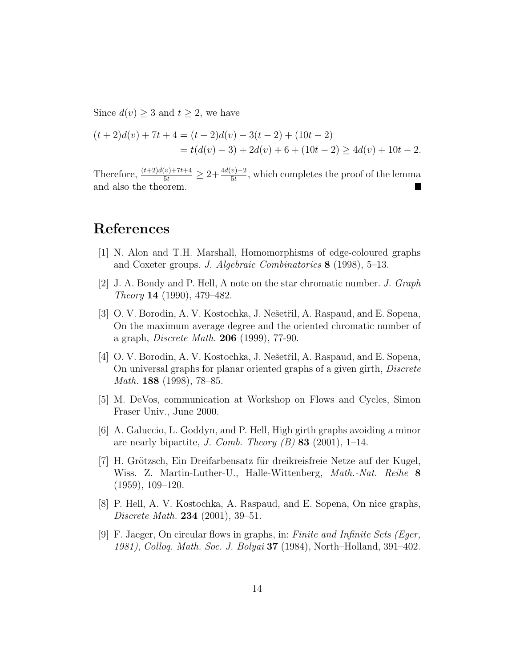Since  $d(v) \geq 3$  and  $t \geq 2$ , we have

$$
(t+2)d(v) + 7t + 4 = (t+2)d(v) - 3(t-2) + (10t-2)
$$
  
=  $t(d(v) - 3) + 2d(v) + 6 + (10t - 2) \ge 4d(v) + 10t - 2$ .

Therefore,  $\frac{(t+2)d(v)+7t+4}{5t} \geq 2+\frac{4d(v)-2}{5t}$ , which completes the proof of the lemma and also the theorem.

### References

- [1] N. Alon and T.H. Marshall, Homomorphisms of edge-coloured graphs and Coxeter groups. J. Algebraic Combinatorics 8 (1998), 5–13.
- [2] J. A. Bondy and P. Hell, A note on the star chromatic number. J. Graph Theory 14 (1990), 479–482.
- [3] O. V. Borodin, A. V. Kostochka, J. Nešetřil, A. Raspaud, and E. Sopena, On the maximum average degree and the oriented chromatic number of a graph, Discrete Math. 206 (1999), 77-90.
- [4] O. V. Borodin, A. V. Kostochka, J. Nešetřil, A. Raspaud, and E. Sopena, On universal graphs for planar oriented graphs of a given girth, Discrete Math. 188 (1998), 78–85.
- [5] M. DeVos, communication at Workshop on Flows and Cycles, Simon Fraser Univ., June 2000.
- [6] A. Galuccio, L. Goddyn, and P. Hell, High girth graphs avoiding a minor are nearly bipartite, J. Comb. Theory  $(B)$  83 (2001), 1–14.
- [7] H. Grötzsch, Ein Dreifarbensatz für dreikreisfreie Netze auf der Kugel, Wiss. Z. Martin-Luther-U., Halle-Wittenberg, *Math.-Nat. Reihe* 8 (1959), 109–120.
- [8] P. Hell, A. V. Kostochka, A. Raspaud, and E. Sopena, On nice graphs, Discrete Math. 234 (2001), 39–51.
- [9] F. Jaeger, On circular flows in graphs, in: Finite and Infinite Sets (Eger, 1981), Colloq. Math. Soc. J. Bolyai 37 (1984), North–Holland, 391–402.